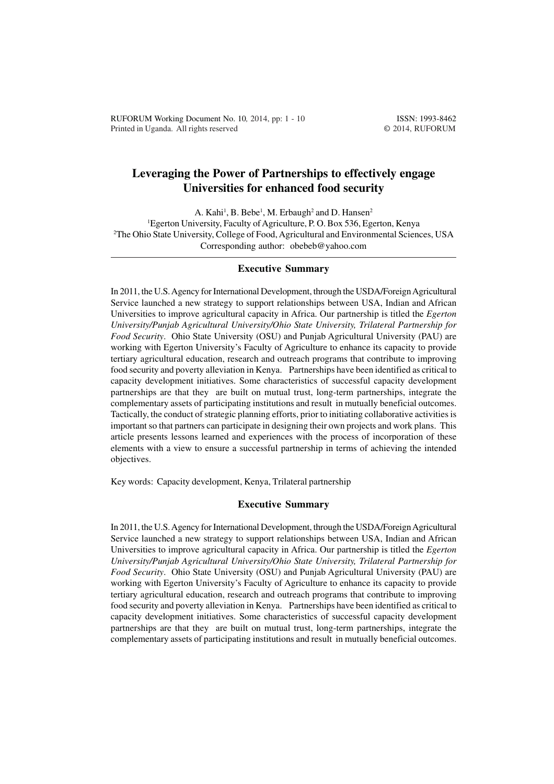# **Leveraging the Power of Partnerships to effectively engage Universities for enhanced food security**

A. Kahi<sup>1</sup>, B. Bebe<sup>1</sup>, M. Erbaugh<sup>2</sup> and D. Hansen<sup>2</sup> <sup>1</sup>Egerton University, Faculty of Agriculture, P. O. Box 536, Egerton, Kenya <sup>2</sup>The Ohio State University, College of Food, Agricultural and Environmental Sciences, USA Corresponding author: obebeb@yahoo.com

#### **Executive Summary**

In 2011, the U.S. Agency for International Development, through the USDA/Foreign Agricultural Service launched a new strategy to support relationships between USA, Indian and African Universities to improve agricultural capacity in Africa. Our partnership is titled the *Egerton University/Punjab Agricultural University/Ohio State University, Trilateral Partnership for Food Security*. Ohio State University (OSU) and Punjab Agricultural University (PAU) are working with Egerton University's Faculty of Agriculture to enhance its capacity to provide tertiary agricultural education, research and outreach programs that contribute to improving food security and poverty alleviation in Kenya. Partnerships have been identified as critical to capacity development initiatives. Some characteristics of successful capacity development partnerships are that they are built on mutual trust, long-term partnerships, integrate the complementary assets of participating institutions and result in mutually beneficial outcomes. Tactically, the conduct of strategic planning efforts, prior to initiating collaborative activities is important so that partners can participate in designing their own projects and work plans. This article presents lessons learned and experiences with the process of incorporation of these elements with a view to ensure a successful partnership in terms of achieving the intended objectives.

Key words: Capacity development, Kenya, Trilateral partnership

#### **Executive Summary**

In 2011, the U.S. Agency for International Development, through the USDA/Foreign Agricultural Service launched a new strategy to support relationships between USA, Indian and African Universities to improve agricultural capacity in Africa. Our partnership is titled the *Egerton University/Punjab Agricultural University/Ohio State University, Trilateral Partnership for Food Security*. Ohio State University (OSU) and Punjab Agricultural University (PAU) are working with Egerton University's Faculty of Agriculture to enhance its capacity to provide tertiary agricultural education, research and outreach programs that contribute to improving food security and poverty alleviation in Kenya. Partnerships have been identified as critical to capacity development initiatives. Some characteristics of successful capacity development partnerships are that they are built on mutual trust, long-term partnerships, integrate the complementary assets of participating institutions and result in mutually beneficial outcomes.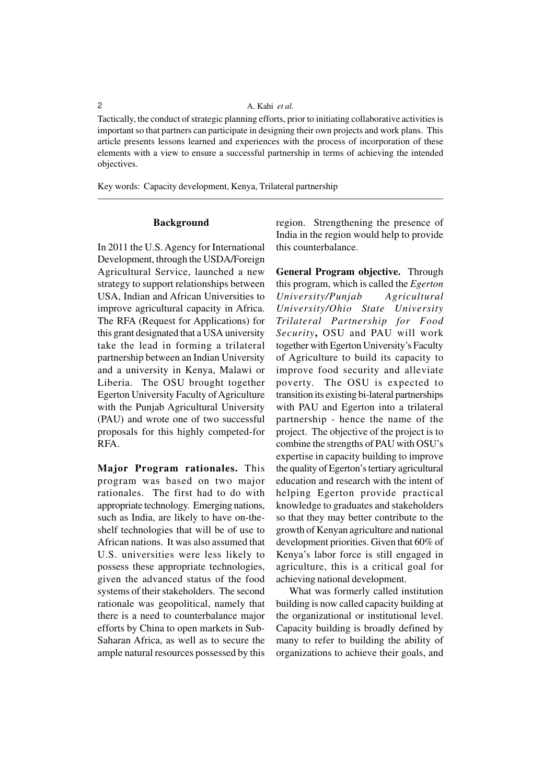### 2 A. Kahi *et al.*

Tactically, the conduct of strategic planning efforts, prior to initiating collaborative activities is important so that partners can participate in designing their own projects and work plans. This article presents lessons learned and experiences with the process of incorporation of these elements with a view to ensure a successful partnership in terms of achieving the intended objectives.

Key words: Capacity development, Kenya, Trilateral partnership

## **Background**

In 2011 the U.S. Agency for International Development, through the USDA/Foreign Agricultural Service, launched a new strategy to support relationships between USA, Indian and African Universities to improve agricultural capacity in Africa. The RFA (Request for Applications) for this grant designated that a USA university take the lead in forming a trilateral partnership between an Indian University and a university in Kenya, Malawi or Liberia. The OSU brought together Egerton University Faculty of Agriculture with the Punjab Agricultural University (PAU) and wrote one of two successful proposals for this highly competed-for RFA.

**Major Program rationales.** This program was based on two major rationales. The first had to do with appropriate technology. Emerging nations, such as India, are likely to have on-theshelf technologies that will be of use to African nations. It was also assumed that U.S. universities were less likely to possess these appropriate technologies, given the advanced status of the food systems of their stakeholders. The second rationale was geopolitical, namely that there is a need to counterbalance major efforts by China to open markets in Sub-Saharan Africa, as well as to secure the ample natural resources possessed by this region. Strengthening the presence of India in the region would help to provide this counterbalance.

**General Program objective.** Through this program, which is called the *Egerton University/Punjab Agricultural University/Ohio State University Trilateral Partnership for Food Security***,** OSU and PAU will work together with Egerton University's Faculty of Agriculture to build its capacity to improve food security and alleviate poverty. The OSU is expected to transition its existing bi-lateral partnerships with PAU and Egerton into a trilateral partnership - hence the name of the project. The objective of the project is to combine the strengths of PAU with OSU's expertise in capacity building to improve the quality of Egerton's tertiary agricultural education and research with the intent of helping Egerton provide practical knowledge to graduates and stakeholders so that they may better contribute to the growth of Kenyan agriculture and national development priorities. Given that 60% of Kenya's labor force is still engaged in agriculture, this is a critical goal for achieving national development.

What was formerly called institution building is now called capacity building at the organizational or institutional level. Capacity building is broadly defined by many to refer to building the ability of organizations to achieve their goals, and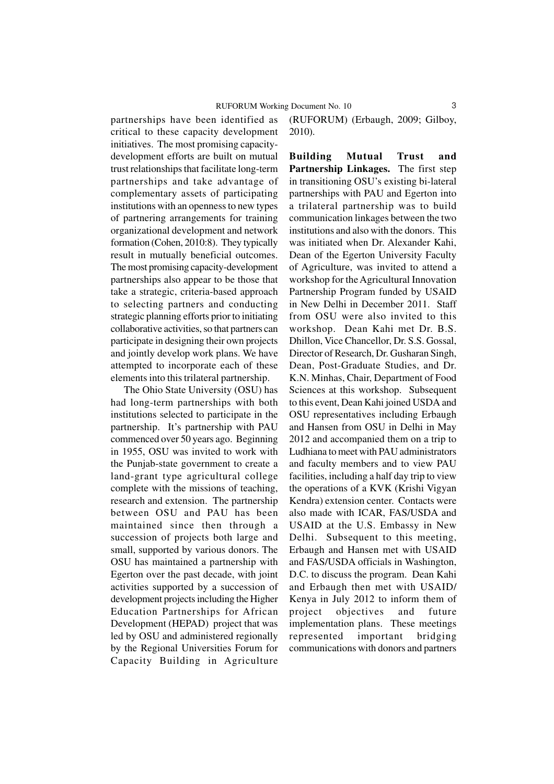partnerships have been identified as critical to these capacity development initiatives. The most promising capacitydevelopment efforts are built on mutual trust relationships that facilitate long-term partnerships and take advantage of complementary assets of participating institutions with an openness to new types of partnering arrangements for training organizational development and network formation (Cohen, 2010:8). They typically result in mutually beneficial outcomes. The most promising capacity-development partnerships also appear to be those that take a strategic, criteria-based approach to selecting partners and conducting strategic planning efforts prior to initiating collaborative activities, so that partners can participate in designing their own projects and jointly develop work plans. We have attempted to incorporate each of these elements into this trilateral partnership.

The Ohio State University (OSU) has had long-term partnerships with both institutions selected to participate in the partnership. It's partnership with PAU commenced over 50 years ago. Beginning in 1955, OSU was invited to work with the Punjab-state government to create a land-grant type agricultural college complete with the missions of teaching, research and extension. The partnership between OSU and PAU has been maintained since then through a succession of projects both large and small, supported by various donors. The OSU has maintained a partnership with Egerton over the past decade, with joint activities supported by a succession of development projects including the Higher Education Partnerships for African Development (HEPAD) project that was led by OSU and administered regionally by the Regional Universities Forum for Capacity Building in Agriculture

(RUFORUM) (Erbaugh, 2009; Gilboy, 2010).

**Building Mutual Trust and Partnership Linkages.** The first step in transitioning OSU's existing bi-lateral partnerships with PAU and Egerton into a trilateral partnership was to build communication linkages between the two institutions and also with the donors. This was initiated when Dr. Alexander Kahi, Dean of the Egerton University Faculty of Agriculture, was invited to attend a workshop for the Agricultural Innovation Partnership Program funded by USAID in New Delhi in December 2011. Staff from OSU were also invited to this workshop. Dean Kahi met Dr. B.S. Dhillon, Vice Chancellor, Dr. S.S. Gossal, Director of Research, Dr. Gusharan Singh, Dean, Post-Graduate Studies, and Dr. K.N. Minhas, Chair, Department of Food Sciences at this workshop. Subsequent to this event, Dean Kahi joined USDA and OSU representatives including Erbaugh and Hansen from OSU in Delhi in May 2012 and accompanied them on a trip to Ludhiana to meet with PAU administrators and faculty members and to view PAU facilities, including a half day trip to view the operations of a KVK (Krishi Vigyan Kendra) extension center. Contacts were also made with ICAR, FAS/USDA and USAID at the U.S. Embassy in New Delhi. Subsequent to this meeting, Erbaugh and Hansen met with USAID and FAS/USDA officials in Washington, D.C. to discuss the program. Dean Kahi and Erbaugh then met with USAID/ Kenya in July 2012 to inform them of project objectives and future implementation plans. These meetings represented important bridging communications with donors and partners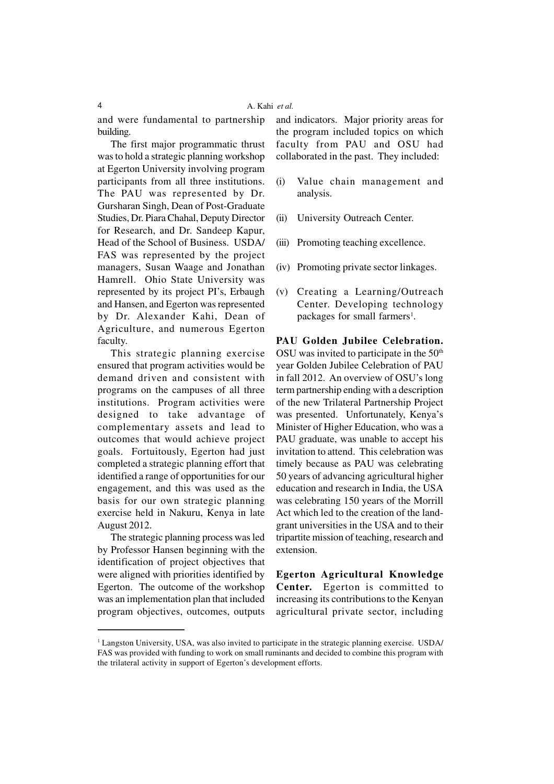and were fundamental to partnership building.

The first major programmatic thrust was to hold a strategic planning workshop at Egerton University involving program participants from all three institutions. The PAU was represented by Dr. Gursharan Singh, Dean of Post-Graduate Studies, Dr. Piara Chahal, Deputy Director for Research, and Dr. Sandeep Kapur, Head of the School of Business. USDA/ FAS was represented by the project managers, Susan Waage and Jonathan Hamrell. Ohio State University was represented by its project PI's, Erbaugh and Hansen, and Egerton was represented by Dr. Alexander Kahi, Dean of Agriculture, and numerous Egerton faculty.

This strategic planning exercise ensured that program activities would be demand driven and consistent with programs on the campuses of all three institutions. Program activities were designed to take advantage of complementary assets and lead to outcomes that would achieve project goals. Fortuitously, Egerton had just completed a strategic planning effort that identified a range of opportunities for our engagement, and this was used as the basis for our own strategic planning exercise held in Nakuru, Kenya in late August 2012.

The strategic planning process was led by Professor Hansen beginning with the identification of project objectives that were aligned with priorities identified by Egerton. The outcome of the workshop was an implementation plan that included program objectives, outcomes, outputs and indicators. Major priority areas for the program included topics on which faculty from PAU and OSU had collaborated in the past. They included:

- (i) Value chain management and analysis.
- (ii) University Outreach Center.
- (iii) Promoting teaching excellence.
- (iv) Promoting private sector linkages.
- (v) Creating a Learning/Outreach Center. Developing technology packages for small farmers<sup>1</sup>.

**PAU Golden Jubilee Celebration.** OSU was invited to participate in the  $50<sup>th</sup>$ year Golden Jubilee Celebration of PAU in fall 2012. An overview of OSU's long term partnership ending with a description of the new Trilateral Partnership Project was presented. Unfortunately, Kenya's Minister of Higher Education, who was a PAU graduate, was unable to accept his invitation to attend. This celebration was timely because as PAU was celebrating 50 years of advancing agricultural higher education and research in India, the USA was celebrating 150 years of the Morrill Act which led to the creation of the landgrant universities in the USA and to their tripartite mission of teaching, research and extension.

**Egerton Agricultural Knowledge Center.** Egerton is committed to increasing its contributions to the Kenyan agricultural private sector, including

<sup>1</sup> Langston University, USA, was also invited to participate in the strategic planning exercise. USDA/ FAS was provided with funding to work on small ruminants and decided to combine this program with the trilateral activity in support of Egerton's development efforts.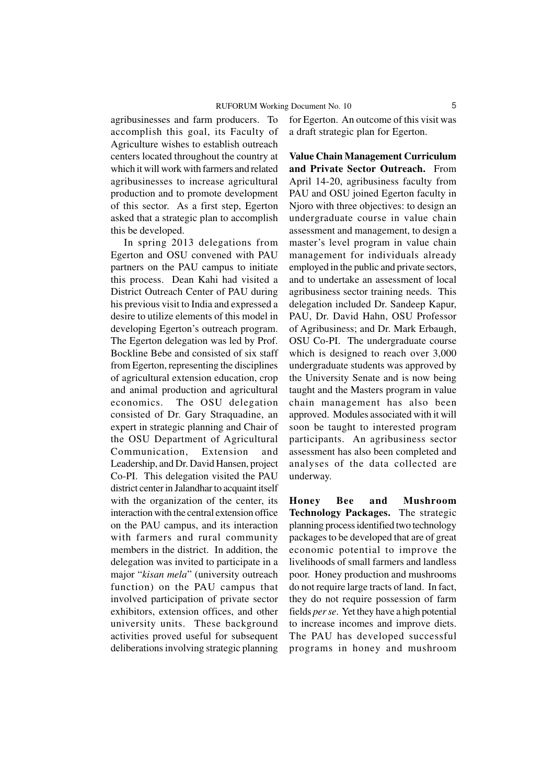agribusinesses and farm producers. To accomplish this goal, its Faculty of Agriculture wishes to establish outreach centers located throughout the country at which it will work with farmers and related agribusinesses to increase agricultural production and to promote development of this sector. As a first step, Egerton asked that a strategic plan to accomplish this be developed.

In spring 2013 delegations from Egerton and OSU convened with PAU partners on the PAU campus to initiate this process. Dean Kahi had visited a District Outreach Center of PAU during his previous visit to India and expressed a desire to utilize elements of this model in developing Egerton's outreach program. The Egerton delegation was led by Prof. Bockline Bebe and consisted of six staff from Egerton, representing the disciplines of agricultural extension education, crop and animal production and agricultural economics. The OSU delegation consisted of Dr. Gary Straquadine, an expert in strategic planning and Chair of the OSU Department of Agricultural Communication, Extension and Leadership, and Dr. David Hansen, project Co-PI. This delegation visited the PAU district center in Jalandhar to acquaint itself with the organization of the center, its interaction with the central extension office on the PAU campus, and its interaction with farmers and rural community members in the district. In addition, the delegation was invited to participate in a major "*kisan mela*" (university outreach function) on the PAU campus that involved participation of private sector exhibitors, extension offices, and other university units. These background activities proved useful for subsequent deliberations involving strategic planning

for Egerton. An outcome of this visit was a draft strategic plan for Egerton.

**Value Chain Management Curriculum and Private Sector Outreach.** From April 14-20, agribusiness faculty from PAU and OSU joined Egerton faculty in Njoro with three objectives: to design an undergraduate course in value chain assessment and management, to design a master's level program in value chain management for individuals already employed in the public and private sectors, and to undertake an assessment of local agribusiness sector training needs. This delegation included Dr. Sandeep Kapur, PAU, Dr. David Hahn, OSU Professor of Agribusiness; and Dr. Mark Erbaugh, OSU Co-PI. The undergraduate course which is designed to reach over 3,000 undergraduate students was approved by the University Senate and is now being taught and the Masters program in value chain management has also been approved. Modules associated with it will soon be taught to interested program participants. An agribusiness sector assessment has also been completed and analyses of the data collected are underway.

**Honey Bee and Mushroom Technology Packages.** The strategic planning process identified two technology packages to be developed that are of great economic potential to improve the livelihoods of small farmers and landless poor. Honey production and mushrooms do not require large tracts of land. In fact, they do not require possession of farm fields *per se*. Yet they have a high potential to increase incomes and improve diets. The PAU has developed successful programs in honey and mushroom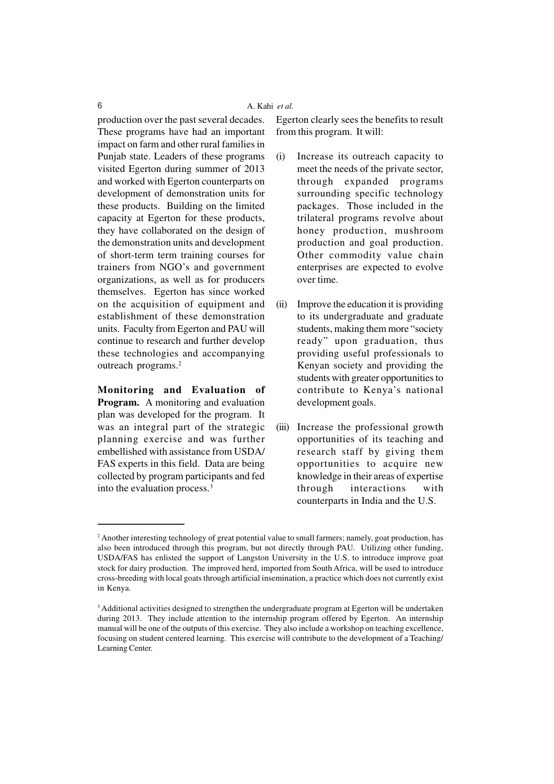production over the past several decades. These programs have had an important impact on farm and other rural families in Punjab state. Leaders of these programs visited Egerton during summer of 2013 and worked with Egerton counterparts on development of demonstration units for these products. Building on the limited capacity at Egerton for these products, they have collaborated on the design of the demonstration units and development of short-term term training courses for trainers from NGO's and government organizations, as well as for producers themselves. Egerton has since worked on the acquisition of equipment and establishment of these demonstration units. Faculty from Egerton and PAU will continue to research and further develop these technologies and accompanying outreach programs.<sup>2</sup>

**Monitoring and Evaluation of Program.** A monitoring and evaluation plan was developed for the program. It was an integral part of the strategic planning exercise and was further embellished with assistance from USDA/ FAS experts in this field. Data are being collected by program participants and fed into the evaluation process.<sup>3</sup>

Egerton clearly sees the benefits to result from this program. It will:

- (i) Increase its outreach capacity to meet the needs of the private sector, through expanded programs surrounding specific technology packages. Those included in the trilateral programs revolve about honey production, mushroom production and goal production. Other commodity value chain enterprises are expected to evolve over time.
- (ii) Improve the education it is providing to its undergraduate and graduate students, making them more "society ready" upon graduation, thus providing useful professionals to Kenyan society and providing the students with greater opportunities to contribute to Kenya's national development goals.
- (iii) Increase the professional growth opportunities of its teaching and research staff by giving them opportunities to acquire new knowledge in their areas of expertise through interactions with counterparts in India and the U.S.

<sup>&</sup>lt;sup>2</sup> Another interesting technology of great potential value to small farmers; namely, goat production, has also been introduced through this program, but not directly through PAU. Utilizing other funding, USDA/FAS has enlisted the support of Langston University in the U.S. to introduce improve goat stock for dairy production. The improved herd, imported from South Africa, will be used to introduce cross-breeding with local goats through artificial insemination, a practice which does not currently exist in Kenya.

<sup>&</sup>lt;sup>3</sup> Additional activities designed to strengthen the undergraduate program at Egerton will be undertaken during 2013. They include attention to the internship program offered by Egerton. An internship manual will be one of the outputs of this exercise. They also include a workshop on teaching excellence, focusing on student centered learning. This exercise will contribute to the development of a Teaching/ Learning Center.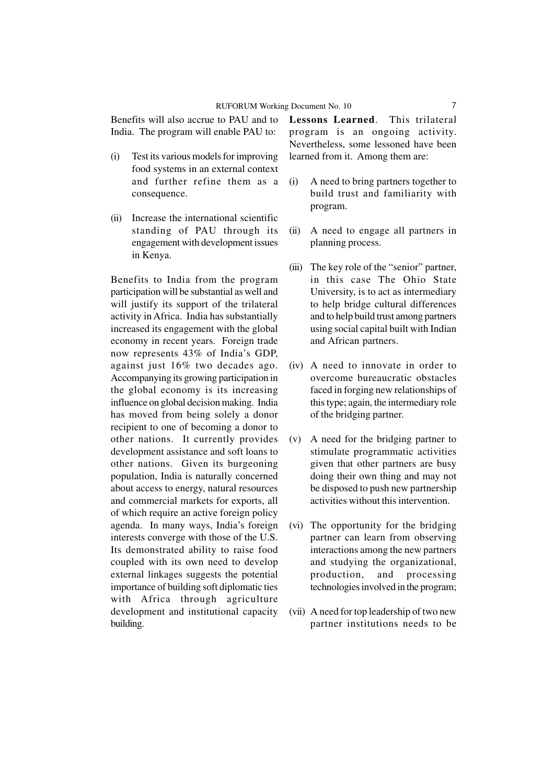Benefits will also accrue to PAU and to India. The program will enable PAU to:

- (i) Test its various models for improving food systems in an external context and further refine them as a consequence.
- (ii) Increase the international scientific standing of PAU through its engagement with development issues in Kenya.

Benefits to India from the program participation will be substantial as well and will justify its support of the trilateral activity in Africa. India has substantially increased its engagement with the global economy in recent years. Foreign trade now represents 43% of India's GDP, against just 16% two decades ago. Accompanying its growing participation in the global economy is its increasing influence on global decision making. India has moved from being solely a donor recipient to one of becoming a donor to other nations. It currently provides development assistance and soft loans to other nations. Given its burgeoning population, India is naturally concerned about access to energy, natural resources and commercial markets for exports, all of which require an active foreign policy agenda. In many ways, India's foreign interests converge with those of the U.S. Its demonstrated ability to raise food coupled with its own need to develop external linkages suggests the potential importance of building soft diplomatic ties with Africa through agriculture development and institutional capacity building.

**Lessons Learned**. This trilateral program is an ongoing activity. Nevertheless, some lessoned have been learned from it. Among them are:

- (i) A need to bring partners together to build trust and familiarity with program.
- (ii) A need to engage all partners in planning process.
- (iii) The key role of the "senior" partner, in this case The Ohio State University, is to act as intermediary to help bridge cultural differences and to help build trust among partners using social capital built with Indian and African partners.
- (iv) A need to innovate in order to overcome bureaucratic obstacles faced in forging new relationships of this type; again, the intermediary role of the bridging partner.
- (v) A need for the bridging partner to stimulate programmatic activities given that other partners are busy doing their own thing and may not be disposed to push new partnership activities without this intervention.
- (vi) The opportunity for the bridging partner can learn from observing interactions among the new partners and studying the organizational, production, and processing technologies involved in the program;
- (vii) A need for top leadership of two new partner institutions needs to be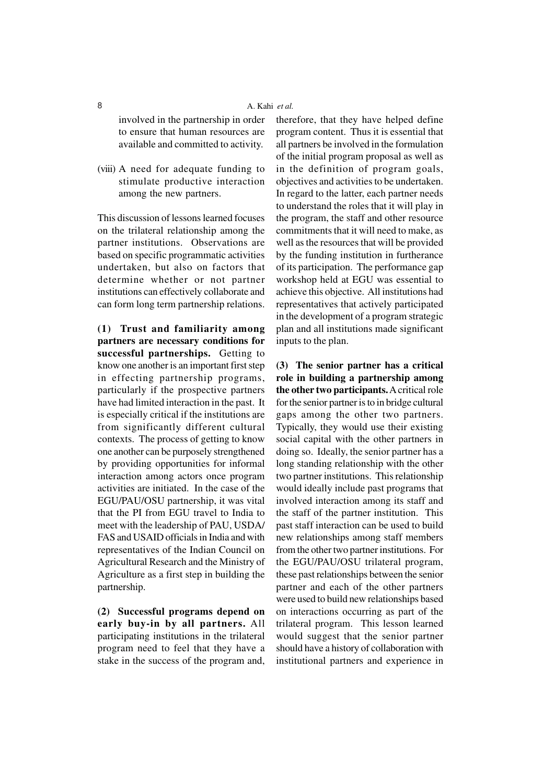## 8 A. Kahi *et al.*

involved in the partnership in order to ensure that human resources are available and committed to activity.

(viii) A need for adequate funding to stimulate productive interaction among the new partners.

This discussion of lessons learned focuses on the trilateral relationship among the partner institutions. Observations are based on specific programmatic activities undertaken, but also on factors that determine whether or not partner institutions can effectively collaborate and can form long term partnership relations.

**(1) Trust and familiarity among partners are necessary conditions for successful partnerships.** Getting to know one another is an important first step in effecting partnership programs, particularly if the prospective partners have had limited interaction in the past. It is especially critical if the institutions are from significantly different cultural contexts. The process of getting to know one another can be purposely strengthened by providing opportunities for informal interaction among actors once program activities are initiated. In the case of the EGU/PAU/OSU partnership, it was vital that the PI from EGU travel to India to meet with the leadership of PAU, USDA/ FAS and USAID officials in India and with representatives of the Indian Council on Agricultural Research and the Ministry of Agriculture as a first step in building the partnership.

**(2) Successful programs depend on early buy-in by all partners.** All participating institutions in the trilateral program need to feel that they have a stake in the success of the program and,

therefore, that they have helped define program content. Thus it is essential that all partners be involved in the formulation of the initial program proposal as well as in the definition of program goals, objectives and activities to be undertaken. In regard to the latter, each partner needs to understand the roles that it will play in the program, the staff and other resource commitments that it will need to make, as well as the resources that will be provided by the funding institution in furtherance of its participation. The performance gap workshop held at EGU was essential to achieve this objective. All institutions had representatives that actively participated in the development of a program strategic plan and all institutions made significant inputs to the plan.

**(3) The senior partner has a critical role in building a partnership among the other two participants.** A critical role for the senior partner is to in bridge cultural gaps among the other two partners. Typically, they would use their existing social capital with the other partners in doing so. Ideally, the senior partner has a long standing relationship with the other two partner institutions. This relationship would ideally include past programs that involved interaction among its staff and the staff of the partner institution. This past staff interaction can be used to build new relationships among staff members from the other two partner institutions. For the EGU/PAU/OSU trilateral program, these past relationships between the senior partner and each of the other partners were used to build new relationships based on interactions occurring as part of the trilateral program. This lesson learned would suggest that the senior partner should have a history of collaboration with institutional partners and experience in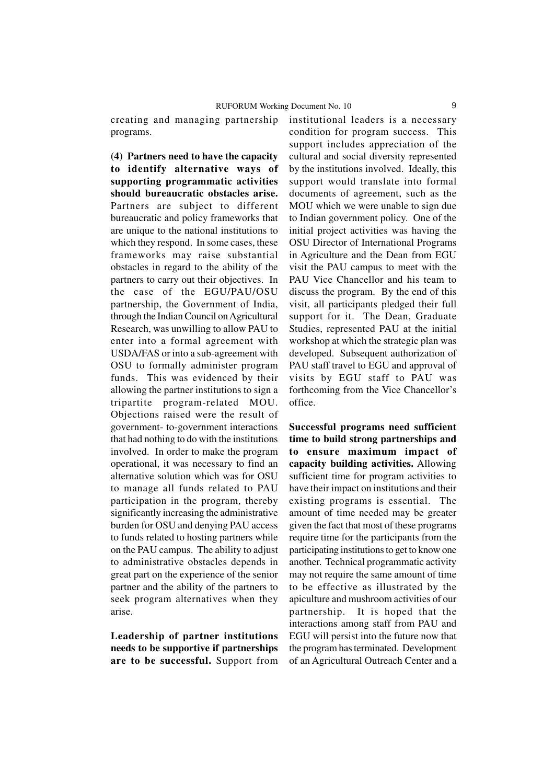creating and managing partnership programs.

**(4) Partners need to have the capacity to identify alternative ways of supporting programmatic activities should bureaucratic obstacles arise.** Partners are subject to different bureaucratic and policy frameworks that are unique to the national institutions to which they respond. In some cases, these frameworks may raise substantial obstacles in regard to the ability of the partners to carry out their objectives. In the case of the EGU/PAU/OSU partnership, the Government of India, through the Indian Council on Agricultural Research, was unwilling to allow PAU to enter into a formal agreement with USDA/FAS or into a sub-agreement with OSU to formally administer program funds. This was evidenced by their allowing the partner institutions to sign a tripartite program-related MOU. Objections raised were the result of government- to-government interactions that had nothing to do with the institutions involved. In order to make the program operational, it was necessary to find an alternative solution which was for OSU to manage all funds related to PAU participation in the program, thereby significantly increasing the administrative burden for OSU and denying PAU access to funds related to hosting partners while on the PAU campus. The ability to adjust to administrative obstacles depends in great part on the experience of the senior partner and the ability of the partners to seek program alternatives when they arise.

**Leadership of partner institutions needs to be supportive if partnerships are to be successful.** Support from institutional leaders is a necessary condition for program success. This support includes appreciation of the cultural and social diversity represented by the institutions involved. Ideally, this support would translate into formal documents of agreement, such as the MOU which we were unable to sign due to Indian government policy. One of the initial project activities was having the OSU Director of International Programs in Agriculture and the Dean from EGU visit the PAU campus to meet with the PAU Vice Chancellor and his team to discuss the program. By the end of this visit, all participants pledged their full support for it. The Dean, Graduate Studies, represented PAU at the initial workshop at which the strategic plan was developed. Subsequent authorization of PAU staff travel to EGU and approval of visits by EGU staff to PAU was forthcoming from the Vice Chancellor's office.

**Successful programs need sufficient time to build strong partnerships and to ensure maximum impact of capacity building activities.** Allowing sufficient time for program activities to have their impact on institutions and their existing programs is essential. The amount of time needed may be greater given the fact that most of these programs require time for the participants from the participating institutions to get to know one another. Technical programmatic activity may not require the same amount of time to be effective as illustrated by the apiculture and mushroom activities of our partnership. It is hoped that the interactions among staff from PAU and EGU will persist into the future now that the program has terminated. Development of an Agricultural Outreach Center and a